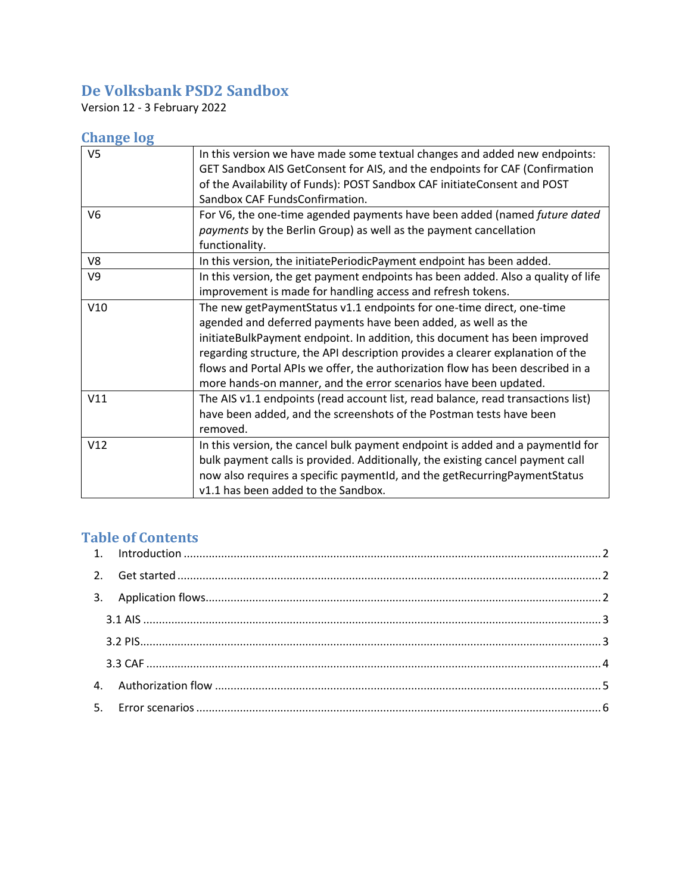# **De Volksbank PSD2 Sandbox**

Version 12 - 3 February 2022

# **Change log**

| V <sub>5</sub> | In this version we have made some textual changes and added new endpoints:        |
|----------------|-----------------------------------------------------------------------------------|
|                | GET Sandbox AIS GetConsent for AIS, and the endpoints for CAF (Confirmation       |
|                | of the Availability of Funds): POST Sandbox CAF initiateConsent and POST          |
|                | Sandbox CAF FundsConfirmation.                                                    |
| V <sub>6</sub> | For V6, the one-time agended payments have been added (named future dated         |
|                | <i>payments</i> by the Berlin Group) as well as the payment cancellation          |
|                | functionality.                                                                    |
| V8             | In this version, the initiatePeriodicPayment endpoint has been added.             |
| V <sub>9</sub> | In this version, the get payment endpoints has been added. Also a quality of life |
|                | improvement is made for handling access and refresh tokens.                       |
| V10            | The new getPaymentStatus v1.1 endpoints for one-time direct, one-time             |
|                | agended and deferred payments have been added, as well as the                     |
|                | initiateBulkPayment endpoint. In addition, this document has been improved        |
|                | regarding structure, the API description provides a clearer explanation of the    |
|                | flows and Portal APIs we offer, the authorization flow has been described in a    |
|                | more hands-on manner, and the error scenarios have been updated.                  |
| V11            | The AIS v1.1 endpoints (read account list, read balance, read transactions list)  |
|                | have been added, and the screenshots of the Postman tests have been               |
|                | removed.                                                                          |
| V12            | In this version, the cancel bulk payment endpoint is added and a paymentId for    |
|                | bulk payment calls is provided. Additionally, the existing cancel payment call    |
|                | now also requires a specific paymentId, and the getRecurringPaymentStatus         |
|                | v1.1 has been added to the Sandbox.                                               |

# **Table of Contents**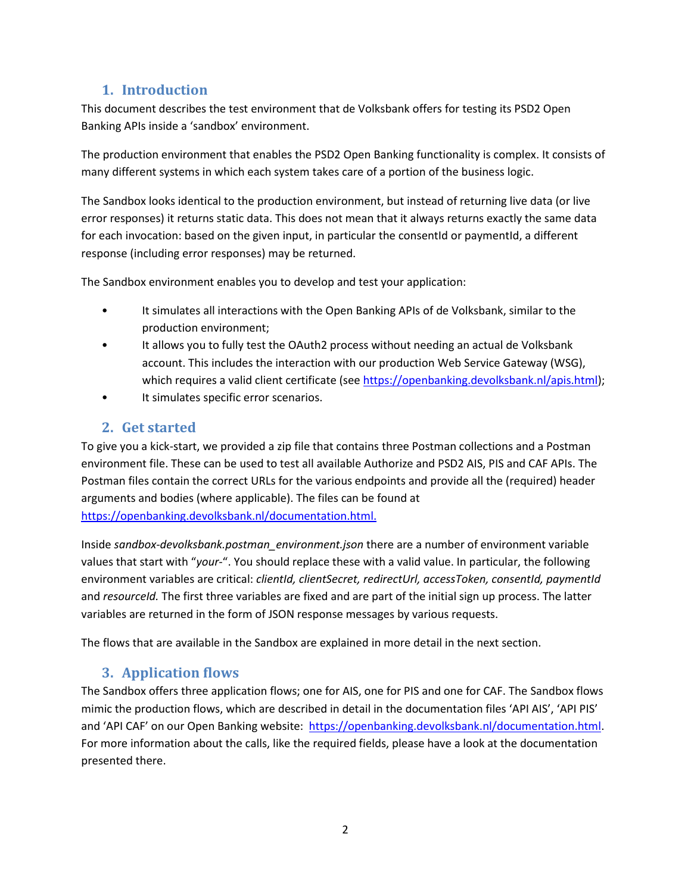## **1. Introduction**

<span id="page-1-0"></span>This document describes the test environment that de Volksbank offers for testing its PSD2 Open Banking APIs inside a 'sandbox' environment.

The production environment that enables the PSD2 Open Banking functionality is complex. It consists of many different systems in which each system takes care of a portion of the business logic.

The Sandbox looks identical to the production environment, but instead of returning live data (or live error responses) it returns static data. This does not mean that it always returns exactly the same data for each invocation: based on the given input, in particular the consentid or paymentid, a different response (including error responses) may be returned.

The Sandbox environment enables you to develop and test your application:

- It simulates all interactions with the Open Banking APIs of de Volksbank, similar to the production environment;
- It allows you to fully test the OAuth2 process without needing an actual de Volksbank account. This includes the interaction with our production Web Service Gateway (WSG), which requires a valid client certificate (see [https://openbanking.devolksbank.nl/apis.html\)](https://openbanking.devolksbank.nl/apis.html);
- It simulates specific error scenarios.

## **2. Get started**

<span id="page-1-1"></span>To give you a kick-start, we provided a zip file that contains three Postman collections and a Postman environment file. These can be used to test all available Authorize and PSD2 AIS, PIS and CAF APIs. The Postman files contain the correct URLs for the various endpoints and provide all the (required) header arguments and bodies (where applicable). The files can be found at [https://openbanking.devolksbank.nl/documentation.html.](https://openbanking.devolksbank.nl/documentation.html)

Inside *sandbox-devolksbank.postman\_environment.json* there are a number of environment variable values that start with "*your-*". You should replace these with a valid value. In particular, the following environment variables are critical: *clientId, clientSecret, redirectUrl, accessToken, consentId, paymentId*  and *resourceId.* The first three variables are fixed and are part of the initial sign up process. The latter variables are returned in the form of JSON response messages by various requests.

The flows that are available in the Sandbox are explained in more detail in the next section.

### **3. Application flows**

<span id="page-1-2"></span>The Sandbox offers three application flows; one for AIS, one for PIS and one for CAF. The Sandbox flows mimic the production flows, which are described in detail in the documentation files 'API AIS', 'API PIS' and 'API CAF' on our Open Banking website: [https://openbanking.devolksbank.nl/documentation.html.](https://openbanking.devolksbank.nl/documentation.html) For more information about the calls, like the required fields, please have a look at the documentation presented there.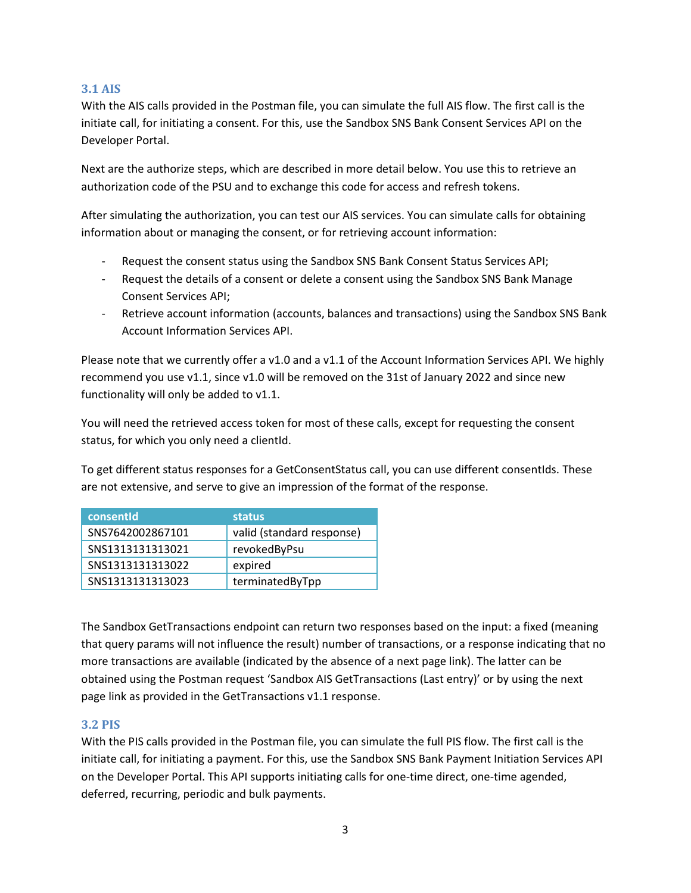#### <span id="page-2-0"></span>**3.1 AIS**

With the AIS calls provided in the Postman file, you can simulate the full AIS flow. The first call is the initiate call, for initiating a consent. For this, use the Sandbox SNS Bank Consent Services API on the Developer Portal.

Next are the authorize steps, which are described in more detail below. You use this to retrieve an authorization code of the PSU and to exchange this code for access and refresh tokens.

After simulating the authorization, you can test our AIS services. You can simulate calls for obtaining information about or managing the consent, or for retrieving account information:

- Request the consent status using the Sandbox SNS Bank Consent Status Services API;
- Request the details of a consent or delete a consent using the Sandbox SNS Bank Manage Consent Services API;
- Retrieve account information (accounts, balances and transactions) using the Sandbox SNS Bank Account Information Services API.

Please note that we currently offer a v1.0 and a v1.1 of the Account Information Services API. We highly recommend you use v1.1, since v1.0 will be removed on the 31st of January 2022 and since new functionality will only be added to v1.1.

You will need the retrieved access token for most of these calls, except for requesting the consent status, for which you only need a clientId.

To get different status responses for a GetConsentStatus call, you can use different consentIds. These are not extensive, and serve to give an impression of the format of the response.

| consentid        | status                    |
|------------------|---------------------------|
| SNS7642002867101 | valid (standard response) |
| SNS1313131313021 | revokedByPsu              |
| SNS1313131313022 | expired                   |
| SNS1313131313023 | terminatedByTpp           |

The Sandbox GetTransactions endpoint can return two responses based on the input: a fixed (meaning that query params will not influence the result) number of transactions, or a response indicating that no more transactions are available (indicated by the absence of a next page link). The latter can be obtained using the Postman request 'Sandbox AIS GetTransactions (Last entry)' or by using the next page link as provided in the GetTransactions v1.1 response.

#### <span id="page-2-1"></span>**3.2 PIS**

With the PIS calls provided in the Postman file, you can simulate the full PIS flow. The first call is the initiate call, for initiating a payment. For this, use the Sandbox SNS Bank Payment Initiation Services API on the Developer Portal. This API supports initiating calls for one-time direct, one-time agended, deferred, recurring, periodic and bulk payments.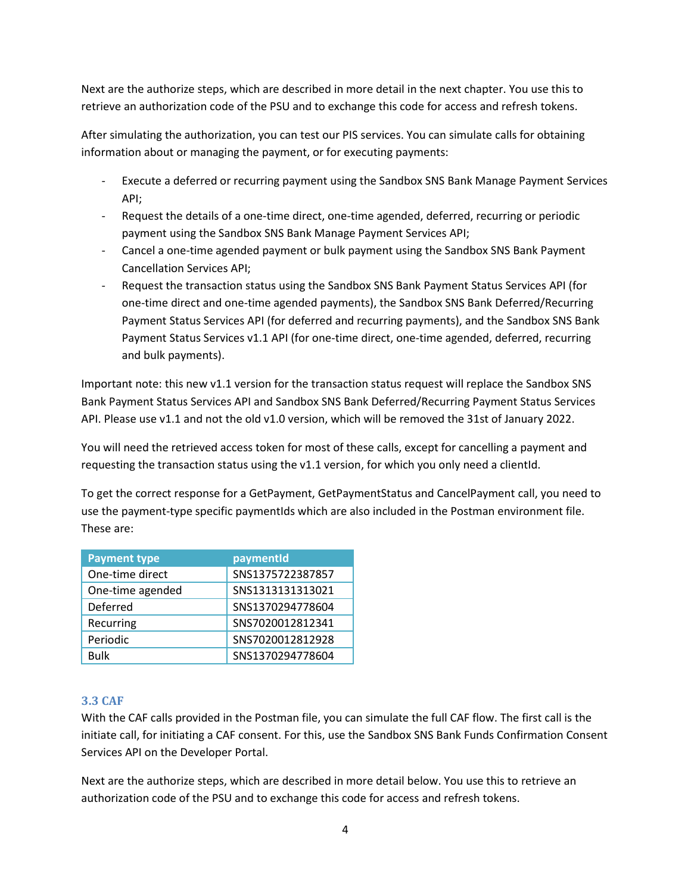Next are the authorize steps, which are described in more detail in the next chapter. You use this to retrieve an authorization code of the PSU and to exchange this code for access and refresh tokens.

After simulating the authorization, you can test our PIS services. You can simulate calls for obtaining information about or managing the payment, or for executing payments:

- Execute a deferred or recurring payment using the Sandbox SNS Bank Manage Payment Services API;
- Request the details of a one-time direct, one-time agended, deferred, recurring or periodic payment using the Sandbox SNS Bank Manage Payment Services API;
- Cancel a one-time agended payment or bulk payment using the Sandbox SNS Bank Payment Cancellation Services API;
- Request the transaction status using the Sandbox SNS Bank Payment Status Services API (for one-time direct and one-time agended payments), the Sandbox SNS Bank Deferred/Recurring Payment Status Services API (for deferred and recurring payments), and the Sandbox SNS Bank Payment Status Services v1.1 API (for one-time direct, one-time agended, deferred, recurring and bulk payments).

Important note: this new v1.1 version for the transaction status request will replace the Sandbox SNS Bank Payment Status Services API and Sandbox SNS Bank Deferred/Recurring Payment Status Services API. Please use v1.1 and not the old v1.0 version, which will be removed the 31st of January 2022.

You will need the retrieved access token for most of these calls, except for cancelling a payment and requesting the transaction status using the v1.1 version, for which you only need a clientId.

To get the correct response for a GetPayment, GetPaymentStatus and CancelPayment call, you need to use the payment-type specific paymentIds which are also included in the Postman environment file. These are:

| <b>Payment type</b> | paymentId        |
|---------------------|------------------|
| One-time direct     | SNS1375722387857 |
| One-time agended    | SNS1313131313021 |
| Deferred            | SNS1370294778604 |
| Recurring           | SNS7020012812341 |
| Periodic            | SNS7020012812928 |
| <b>Bulk</b>         | SNS1370294778604 |

### <span id="page-3-0"></span>**3.3 CAF**

With the CAF calls provided in the Postman file, you can simulate the full CAF flow. The first call is the initiate call, for initiating a CAF consent. For this, use the Sandbox SNS Bank Funds Confirmation Consent Services API on the Developer Portal.

Next are the authorize steps, which are described in more detail below. You use this to retrieve an authorization code of the PSU and to exchange this code for access and refresh tokens.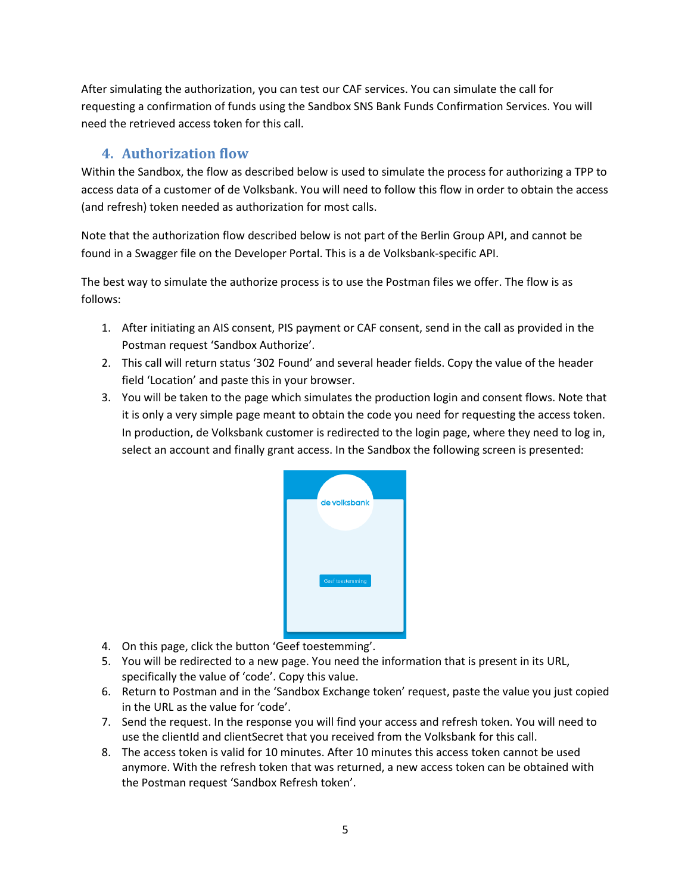After simulating the authorization, you can test our CAF services. You can simulate the call for requesting a confirmation of funds using the Sandbox SNS Bank Funds Confirmation Services. You will need the retrieved access token for this call.

# **4. Authorization flow**

<span id="page-4-0"></span>Within the Sandbox, the flow as described below is used to simulate the process for authorizing a TPP to access data of a customer of de Volksbank. You will need to follow this flow in order to obtain the access (and refresh) token needed as authorization for most calls.

Note that the authorization flow described below is not part of the Berlin Group API, and cannot be found in a Swagger file on the Developer Portal. This is a de Volksbank-specific API.

The best way to simulate the authorize process is to use the Postman files we offer. The flow is as follows:

- 1. After initiating an AIS consent, PIS payment or CAF consent, send in the call as provided in the Postman request 'Sandbox Authorize'.
- 2. This call will return status '302 Found' and several header fields. Copy the value of the header field 'Location' and paste this in your browser.
- 3. You will be taken to the page which simulates the production login and consent flows. Note that it is only a very simple page meant to obtain the code you need for requesting the access token. In production, de Volksbank customer is redirected to the login page, where they need to log in, select an account and finally grant access. In the Sandbox the following screen is presented:



- 4. On this page, click the button 'Geef toestemming'.
- 5. You will be redirected to a new page. You need the information that is present in its URL, specifically the value of 'code'. Copy this value.
- 6. Return to Postman and in the 'Sandbox Exchange token' request, paste the value you just copied in the URL as the value for 'code'.
- 7. Send the request. In the response you will find your access and refresh token. You will need to use the clientId and clientSecret that you received from the Volksbank for this call.
- 8. The access token is valid for 10 minutes. After 10 minutes this access token cannot be used anymore. With the refresh token that was returned, a new access token can be obtained with the Postman request 'Sandbox Refresh token'.